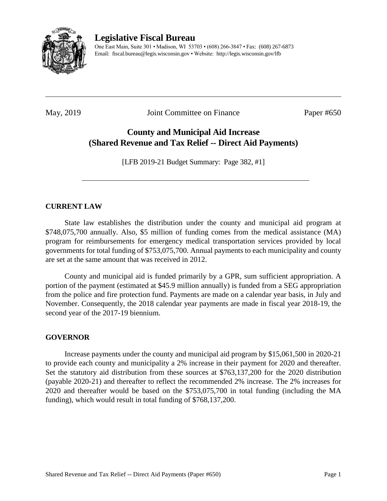

# **Legislative Fiscal Bureau**

One East Main, Suite 301 • Madison, WI 53703 • (608) 266-3847 • Fax: (608) 267-6873 Email: fiscal.bureau@legis.wisconsin.gov • Website:<http://legis.wisconsin.gov/lfb>

May, 2019 **Joint Committee on Finance** Paper #650

# **County and Municipal Aid Increase (Shared Revenue and Tax Relief -- Direct Aid Payments)**

[LFB 2019-21 Budget Summary: Page 382, #1]

# **CURRENT LAW**

State law establishes the distribution under the county and municipal aid program at \$748,075,700 annually. Also, \$5 million of funding comes from the medical assistance (MA) program for reimbursements for emergency medical transportation services provided by local governments for total funding of \$753,075,700. Annual payments to each municipality and county are set at the same amount that was received in 2012.

County and municipal aid is funded primarily by a GPR, sum sufficient appropriation. A portion of the payment (estimated at \$45.9 million annually) is funded from a SEG appropriation from the police and fire protection fund. Payments are made on a calendar year basis, in July and November. Consequently, the 2018 calendar year payments are made in fiscal year 2018-19, the second year of the 2017-19 biennium.

# **GOVERNOR**

Increase payments under the county and municipal aid program by \$15,061,500 in 2020-21 to provide each county and municipality a 2% increase in their payment for 2020 and thereafter. Set the statutory aid distribution from these sources at \$763,137,200 for the 2020 distribution (payable 2020-21) and thereafter to reflect the recommended 2% increase. The 2% increases for 2020 and thereafter would be based on the \$753,075,700 in total funding (including the MA funding), which would result in total funding of \$768,137,200.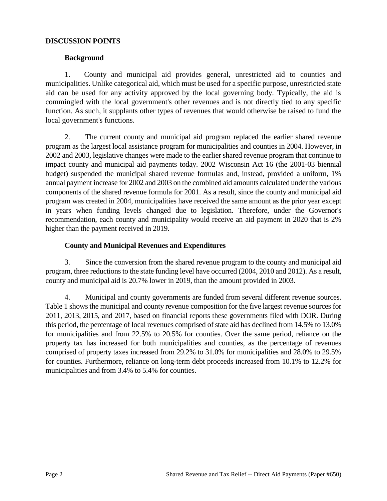#### **DISCUSSION POINTS**

## **Background**

1. County and municipal aid provides general, unrestricted aid to counties and municipalities. Unlike categorical aid, which must be used for a specific purpose, unrestricted state aid can be used for any activity approved by the local governing body. Typically, the aid is commingled with the local government's other revenues and is not directly tied to any specific function. As such, it supplants other types of revenues that would otherwise be raised to fund the local government's functions.

2. The current county and municipal aid program replaced the earlier shared revenue program as the largest local assistance program for municipalities and counties in 2004. However, in 2002 and 2003, legislative changes were made to the earlier shared revenue program that continue to impact county and municipal aid payments today. 2002 Wisconsin Act 16 (the 2001-03 biennial budget) suspended the municipal shared revenue formulas and, instead, provided a uniform, 1% annual payment increase for 2002 and 2003 on the combined aid amounts calculated under the various components of the shared revenue formula for 2001. As a result, since the county and municipal aid program was created in 2004, municipalities have received the same amount as the prior year except in years when funding levels changed due to legislation. Therefore, under the Governor's recommendation, each county and municipality would receive an aid payment in 2020 that is 2% higher than the payment received in 2019.

# **County and Municipal Revenues and Expenditures**

3. Since the conversion from the shared revenue program to the county and municipal aid program, three reductions to the state funding level have occurred (2004, 2010 and 2012). As a result, county and municipal aid is 20.7% lower in 2019, than the amount provided in 2003.

4. Municipal and county governments are funded from several different revenue sources. Table 1 shows the municipal and county revenue composition for the five largest revenue sources for 2011, 2013, 2015, and 2017, based on financial reports these governments filed with DOR. During this period, the percentage of local revenues comprised of state aid has declined from 14.5% to 13.0% for municipalities and from 22.5% to 20.5% for counties. Over the same period, reliance on the property tax has increased for both municipalities and counties, as the percentage of revenues comprised of property taxes increased from 29.2% to 31.0% for municipalities and 28.0% to 29.5% for counties. Furthermore, reliance on long-term debt proceeds increased from 10.1% to 12.2% for municipalities and from 3.4% to 5.4% for counties.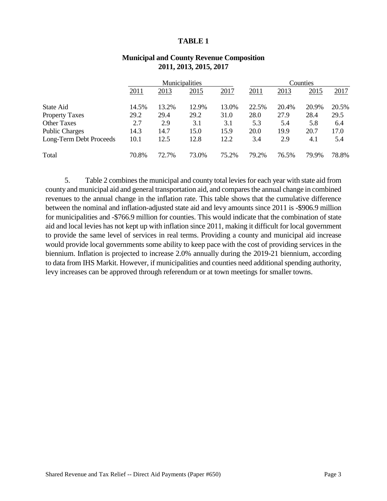#### **TABLE 1**

|                         |       |       | Municipalities |       |       |       | Counties |       |
|-------------------------|-------|-------|----------------|-------|-------|-------|----------|-------|
|                         | 2011  | 2013  | 2015           | 2017  | 2011  | 2013  | 2015     | 2017  |
| State Aid               | 14.5% | 13.2% | 12.9%          | 13.0% | 22.5% | 20.4% | 20.9%    | 20.5% |
| <b>Property Taxes</b>   | 29.2  | 29.4  | 29.2           | 31.0  | 28.0  | 27.9  | 28.4     | 29.5  |
| <b>Other Taxes</b>      | 2.7   | 2.9   | 3.1            | 3.1   | 5.3   | 5.4   | 5.8      | 6.4   |
| <b>Public Charges</b>   | 14.3  | 14.7  | 15.0           | 15.9  | 20.0  | 19.9  | 20.7     | 17.0  |
| Long-Term Debt Proceeds | 10.1  | 12.5  | 12.8           | 12.2  | 3.4   | 2.9   | 4.1      | 5.4   |
| Total                   | 70.8% | 72.7% | 73.0%          | 75.2% | 79.2% | 76.5% | 79.9%    | 78.8% |

## **Municipal and County Revenue Composition 2011, 2013, 2015, 2017**

5. Table 2 combines the municipal and county total levies for each year with state aid from county and municipal aid and general transportation aid, and compares the annual change in combined revenues to the annual change in the inflation rate. This table shows that the cumulative difference between the nominal and inflation-adjusted state aid and levy amounts since 2011 is -\$906.9 million for municipalities and -\$766.9 million for counties. This would indicate that the combination of state aid and local levies has not kept up with inflation since 2011, making it difficult for local government to provide the same level of services in real terms. Providing a county and municipal aid increase would provide local governments some ability to keep pace with the cost of providing services in the biennium. Inflation is projected to increase 2.0% annually during the 2019-21 biennium, according to data from IHS Markit. However, if municipalities and counties need additional spending authority, levy increases can be approved through referendum or at town meetings for smaller towns.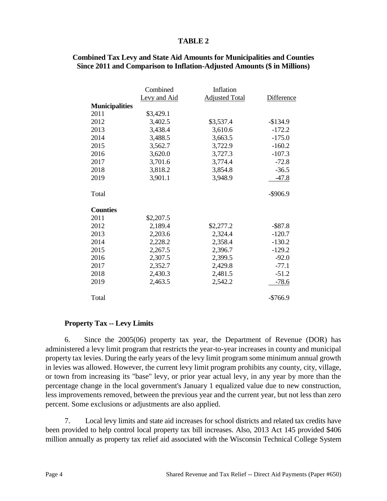### **TABLE 2**

|                       | Combined     | Inflation             |             |
|-----------------------|--------------|-----------------------|-------------|
|                       | Levy and Aid | <b>Adjusted Total</b> | Difference  |
| <b>Municipalities</b> |              |                       |             |
| 2011                  | \$3,429.1    |                       |             |
| 2012                  | 3,402.5      | \$3,537.4             | $-$134.9$   |
| 2013                  | 3,438.4      | 3,610.6               | $-172.2$    |
| 2014                  | 3,488.5      | 3,663.5               | $-175.0$    |
| 2015                  | 3,562.7      | 3,722.9               | $-160.2$    |
| 2016                  | 3,620.0      | 3,727.3               | $-107.3$    |
| 2017                  | 3,701.6      | 3,774.4               | $-72.8$     |
| 2018                  | 3,818.2      | 3,854.8               | $-36.5$     |
| 2019                  | 3,901.1      | 3,948.9               | $-47.8$     |
| Total                 |              |                       | $-$ \$906.9 |
| <b>Counties</b>       |              |                       |             |
| 2011                  | \$2,207.5    |                       |             |
| 2012                  | 2,189.4      | \$2,277.2             | $-$ \$87.8  |
| 2013                  | 2,203.6      | 2,324.4               | $-120.7$    |
| 2014                  | 2,228.2      | 2,358.4               | $-130.2$    |
| 2015                  | 2,267.5      | 2,396.7               | $-129.2$    |
| 2016                  | 2,307.5      | 2,399.5               | $-92.0$     |
| 2017                  | 2,352.7      | 2,429.8               | $-77.1$     |
| 2018                  | 2,430.3      | 2,481.5               | $-51.2$     |
| 2019                  | 2,463.5      | 2,542.2               | $-78.6$     |
| Total                 |              |                       | $-$766.9$   |

**Combined Tax Levy and State Aid Amounts for Municipalities and Counties Since 2011 and Comparison to Inflation-Adjusted Amounts (\$ in Millions)**

## **Property Tax -- Levy Limits**

6. Since the 2005(06) property tax year, the Department of Revenue (DOR) has administered a levy limit program that restricts the year-to-year increases in county and municipal property tax levies. During the early years of the levy limit program some minimum annual growth in levies was allowed. However, the current levy limit program prohibits any county, city, village, or town from increasing its "base" levy, or prior year actual levy, in any year by more than the percentage change in the local government's January 1 equalized value due to new construction, less improvements removed, between the previous year and the current year, but not less than zero percent. Some exclusions or adjustments are also applied.

7. Local levy limits and state aid increases for school districts and related tax credits have been provided to help control local property tax bill increases. Also, 2013 Act 145 provided \$406 million annually as property tax relief aid associated with the Wisconsin Technical College System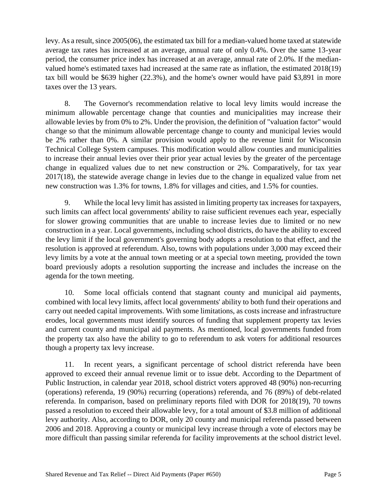levy. As a result, since 2005(06), the estimated tax bill for a median-valued home taxed at statewide average tax rates has increased at an average, annual rate of only 0.4%. Over the same 13-year period, the consumer price index has increased at an average, annual rate of 2.0%. If the medianvalued home's estimated taxes had increased at the same rate as inflation, the estimated 2018(19) tax bill would be \$639 higher (22.3%), and the home's owner would have paid \$3,891 in more taxes over the 13 years.

8. The Governor's recommendation relative to local levy limits would increase the minimum allowable percentage change that counties and municipalities may increase their allowable levies by from 0% to 2%. Under the provision, the definition of "valuation factor" would change so that the minimum allowable percentage change to county and municipal levies would be 2% rather than 0%. A similar provision would apply to the revenue limit for Wisconsin Technical College System campuses. This modification would allow counties and municipalities to increase their annual levies over their prior year actual levies by the greater of the percentage change in equalized values due to net new construction or 2%. Comparatively, for tax year 2017(18), the statewide average change in levies due to the change in equalized value from net new construction was 1.3% for towns, 1.8% for villages and cities, and 1.5% for counties.

9. While the local levy limit has assisted in limiting property tax increases for taxpayers, such limits can affect local governments' ability to raise sufficient revenues each year, especially for slower growing communities that are unable to increase levies due to limited or no new construction in a year. Local governments, including school districts, do have the ability to exceed the levy limit if the local government's governing body adopts a resolution to that effect, and the resolution is approved at referendum. Also, towns with populations under 3,000 may exceed their levy limits by a vote at the annual town meeting or at a special town meeting, provided the town board previously adopts a resolution supporting the increase and includes the increase on the agenda for the town meeting.

10. Some local officials contend that stagnant county and municipal aid payments, combined with local levy limits, affect local governments' ability to both fund their operations and carry out needed capital improvements. With some limitations, as costs increase and infrastructure erodes, local governments must identify sources of funding that supplement property tax levies and current county and municipal aid payments. As mentioned, local governments funded from the property tax also have the ability to go to referendum to ask voters for additional resources though a property tax levy increase.

11. In recent years, a significant percentage of school district referenda have been approved to exceed their annual revenue limit or to issue debt. According to the Department of Public Instruction, in calendar year 2018, school district voters approved 48 (90%) non-recurring (operations) referenda, 19 (90%) recurring (operations) referenda, and 76 (89%) of debt-related referenda. In comparison, based on preliminary reports filed with DOR for 2018(19), 70 towns passed a resolution to exceed their allowable levy, for a total amount of \$3.8 million of additional levy authority. Also, according to DOR, only 20 county and municipal referenda passed between 2006 and 2018. Approving a county or municipal levy increase through a vote of electors may be more difficult than passing similar referenda for facility improvements at the school district level.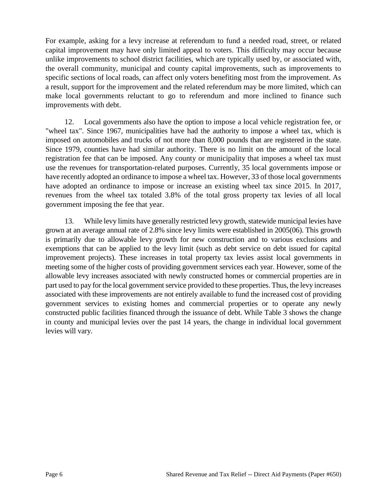For example, asking for a levy increase at referendum to fund a needed road, street, or related capital improvement may have only limited appeal to voters. This difficulty may occur because unlike improvements to school district facilities, which are typically used by, or associated with, the overall community, municipal and county capital improvements, such as improvements to specific sections of local roads, can affect only voters benefiting most from the improvement. As a result, support for the improvement and the related referendum may be more limited, which can make local governments reluctant to go to referendum and more inclined to finance such improvements with debt.

12. Local governments also have the option to impose a local vehicle registration fee, or "wheel tax". Since 1967, municipalities have had the authority to impose a wheel tax, which is imposed on automobiles and trucks of not more than 8,000 pounds that are registered in the state. Since 1979, counties have had similar authority. There is no limit on the amount of the local registration fee that can be imposed. Any county or municipality that imposes a wheel tax must use the revenues for transportation-related purposes. Currently, 35 local governments impose or have recently adopted an ordinance to impose a wheel tax. However, 33 of those local governments have adopted an ordinance to impose or increase an existing wheel tax since 2015. In 2017, revenues from the wheel tax totaled 3.8% of the total gross property tax levies of all local government imposing the fee that year.

13. While levy limits have generally restricted levy growth, statewide municipal levies have grown at an average annual rate of 2.8% since levy limits were established in 2005(06). This growth is primarily due to allowable levy growth for new construction and to various exclusions and exemptions that can be applied to the levy limit (such as debt service on debt issued for capital improvement projects). These increases in total property tax levies assist local governments in meeting some of the higher costs of providing government services each year. However, some of the allowable levy increases associated with newly constructed homes or commercial properties are in part used to pay for the local government service provided to these properties. Thus, the levy increases associated with these improvements are not entirely available to fund the increased cost of providing government services to existing homes and commercial properties or to operate any newly constructed public facilities financed through the issuance of debt. While Table 3 shows the change in county and municipal levies over the past 14 years, the change in individual local government levies will vary.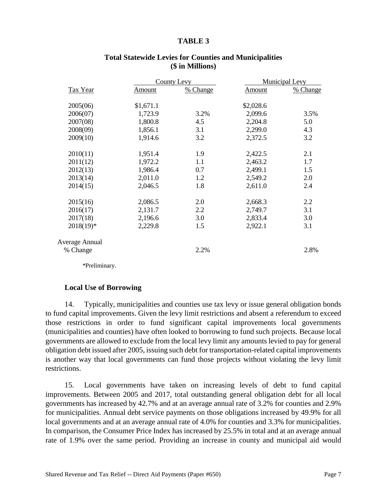#### **TABLE 3**

|                |           | <b>County Levy</b> | <b>Municipal Levy</b> |          |
|----------------|-----------|--------------------|-----------------------|----------|
| Tax Year       | Amount    | % Change           | Amount                | % Change |
| 2005(06)       | \$1,671.1 |                    | \$2,028.6             |          |
| 2006(07)       | 1,723.9   | 3.2%               | 2,099.6               | 3.5%     |
| 2007(08)       | 1,800.8   | 4.5                | 2,204.8               | 5.0      |
| 2008(09)       | 1,856.1   | 3.1                | 2,299.0               | 4.3      |
| 2009(10)       | 1,914.6   | 3.2                | 2,372.5               | 3.2      |
| 2010(11)       | 1,951.4   | 1.9                | 2,422.5               | 2.1      |
| 2011(12)       | 1,972.2   | 1.1                | 2,463.2               | 1.7      |
| 2012(13)       | 1,986.4   | 0.7                | 2,499.1               | 1.5      |
| 2013(14)       | 2,011.0   | 1.2                | 2,549.2               | 2.0      |
| 2014(15)       | 2,046.5   | 1.8                | 2,611.0               | 2.4      |
| 2015(16)       | 2,086.5   | 2.0                | 2,668.3               | 2.2      |
| 2016(17)       | 2,131.7   | 2.2                | 2,749.7               | 3.1      |
| 2017(18)       | 2,196.6   | 3.0                | 2,833.4               | 3.0      |
| $2018(19)^*$   | 2,229.8   | 1.5                | 2,922.1               | 3.1      |
| Average Annual |           |                    |                       |          |
| % Change       |           | 2.2%               |                       | 2.8%     |

# **Total Statewide Levies for Counties and Municipalities (\$ in Millions)**

\*Preliminary.

#### **Local Use of Borrowing**

14. Typically, municipalities and counties use tax levy or issue general obligation bonds to fund capital improvements. Given the levy limit restrictions and absent a referendum to exceed those restrictions in order to fund significant capital improvements local governments (municipalities and counties) have often looked to borrowing to fund such projects. Because local governments are allowed to exclude from the local levy limit any amounts levied to pay for general obligation debt issued after 2005, issuing such debt for transportation-related capital improvements is another way that local governments can fund those projects without violating the levy limit restrictions.

15. Local governments have taken on increasing levels of debt to fund capital improvements. Between 2005 and 2017, total outstanding general obligation debt for all local governments has increased by 42.7% and at an average annual rate of 3.2% for counties and 2.9% for municipalities. Annual debt service payments on those obligations increased by 49.9% for all local governments and at an average annual rate of 4.0% for counties and 3.3% for municipalities. In comparison, the Consumer Price Index has increased by 25.5% in total and at an average annual rate of 1.9% over the same period. Providing an increase in county and municipal aid would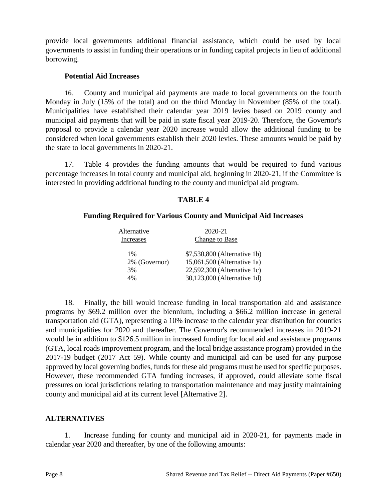provide local governments additional financial assistance, which could be used by local governments to assist in funding their operations or in funding capital projects in lieu of additional borrowing.

# **Potential Aid Increases**

16. County and municipal aid payments are made to local governments on the fourth Monday in July (15% of the total) and on the third Monday in November (85% of the total). Municipalities have established their calendar year 2019 levies based on 2019 county and municipal aid payments that will be paid in state fiscal year 2019-20. Therefore, the Governor's proposal to provide a calendar year 2020 increase would allow the additional funding to be considered when local governments establish their 2020 levies. These amounts would be paid by the state to local governments in 2020-21.

17. Table 4 provides the funding amounts that would be required to fund various percentage increases in total county and municipal aid, beginning in 2020-21, if the Committee is interested in providing additional funding to the county and municipal aid program.

# **TABLE 4**

# **Funding Required for Various County and Municipal Aid Increases**

| Alternative   | 2020-21                      |
|---------------|------------------------------|
| Increases     | Change to Base               |
| $1\%$         | \$7,530,800 (Alternative 1b) |
| 2% (Governor) | 15,061,500 (Alternative 1a)  |
| 3%            | 22,592,300 (Alternative 1c)  |
| 4%            | 30,123,000 (Alternative 1d)  |

18. Finally, the bill would increase funding in local transportation aid and assistance programs by \$69.2 million over the biennium, including a \$66.2 million increase in general transportation aid (GTA), representing a 10% increase to the calendar year distribution for counties and municipalities for 2020 and thereafter. The Governor's recommended increases in 2019-21 would be in addition to \$126.5 million in increased funding for local aid and assistance programs (GTA, local roads improvement program, and the local bridge assistance program) provided in the 2017-19 budget (2017 Act 59). While county and municipal aid can be used for any purpose approved by local governing bodies, funds for these aid programs must be used for specific purposes. However, these recommended GTA funding increases, if approved, could alleviate some fiscal pressures on local jurisdictions relating to transportation maintenance and may justify maintaining county and municipal aid at its current level [Alternative 2].

## **ALTERNATIVES**

1. Increase funding for county and municipal aid in 2020-21, for payments made in calendar year 2020 and thereafter, by one of the following amounts: